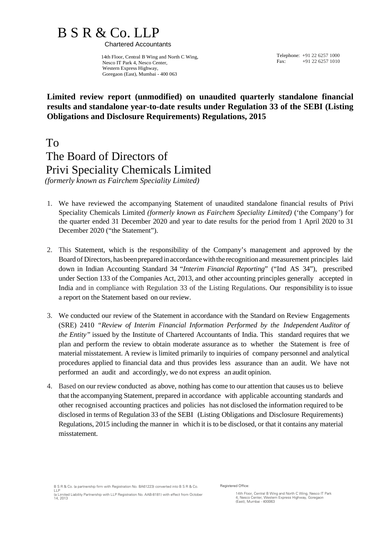# $B S R & Co. LLP$ <br>Chartered Accountants

 14th Floor, Central B Wing and North C Wing, Nesco IT Park 4, Nesco Center, Western Express Highway, Goregaon (East), Mumbai - 400 063

Telephone: +91 22 6257 1000<br>Fax: +91 22 6257 1010 +91 22 6257 1010

## **Limited review report (unmodified) on unaudited quarterly standalone financial results and standalone year-to-date results under Regulation 33 of the SEBI (Listing Obligations and Disclosure Requirements) Regulations, 2015**

To The Board of Directors of Privi Speciality Chemicals Limited *(formerly known as Fairchem Speciality Limited)*

- 1. We have reviewed the accompanying Statement of unaudited standalone financial results of Privi Speciality Chemicals Limited *(formerly known as Fairchem Speciality Limited)* ('the Company') for the quarter ended 31 December 2020 and year to date results for the period from 1 April 2020 to 31 December 2020 ("the Statement").
- 2. This Statement, which is the responsibility of the Company's management and approved by the Board of Directors, hasbeenprepared inaccordancewiththe recognitionand measurement principles laid down in Indian Accounting Standard 34 "*Interim Financial Reporting*" ("Ind AS 34"), prescribed under Section 133 of the Companies Act, 2013, and other accounting principles generally accepted in India and in compliance with Regulation 33 of the Listing Regulations. Our responsibility is to issue a report on the Statement based on our review.
- 3. We conducted our review of the Statement in accordance with the Standard on Review Engagements (SRE) 2410 *"Review of Interim Financial Information Performed by the Independent Auditor of the Entity"* issued by the Institute of Chartered Accountants of India. This standard requires that we plan and perform the review to obtain moderate assurance as to whether the Statement is free of material misstatement. A review is limited primarily to inquiries of company personnel and analytical procedures applied to financial data and thus provides less assurance than an audit. We have not performed an audit and accordingly, we do not express an audit opinion.
- 4. Based on our review conducted as above, nothing has come to our attention that causes us to believe that the accompanying Statement, prepared in accordance with applicable accounting standards and other recognised accounting practices and policies has not disclosed the information required to be disclosed in terms of Regulation 33 of the SEBI (Listing Obligations and Disclosure Requirements) Regulations, 2015 including the manner in which it is to be disclosed, or that it contains any material misstatement.

B S R & Co. (a partnership firm with Registration No. BA61223) converted into B S R & Co. LLP (a Limited Liability Partnership with LLP Registration No. AAB-8181) with effect from October 14, 2013

Registered Office:

14th Floor, Central B Wing and North C Wing, Nesco IT Park 4, Nesco Center, Western Express Highway, Goregaon (East), Mumbai - 400063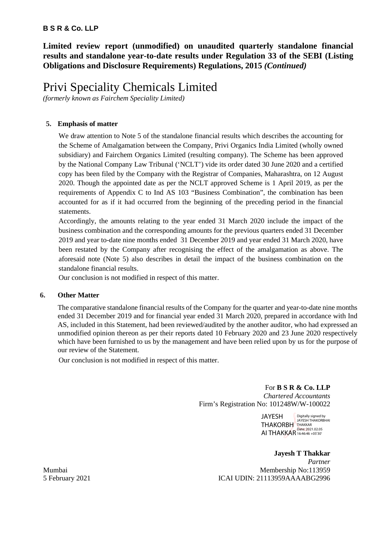## **B S R & Co. LLP**

**Limited review report (unmodified) on unaudited quarterly standalone financial results and standalone year-to-date results under Regulation 33 of the SEBI (Listing Obligations and Disclosure Requirements) Regulations, 2015** *(Continued)*

# Privi Speciality Chemicals Limited

*(formerly known as Fairchem Speciality Limited)*

## **5. Emphasis of matter**

We draw attention to Note 5 of the standalone financial results which describes the accounting for the Scheme of Amalgamation between the Company, Privi Organics India Limited (wholly owned subsidiary) and Fairchem Organics Limited (resulting company). The Scheme has been approved by the National Company Law Tribunal ('NCLT') vide its order dated 30 June 2020 and a certified copy has been filed by the Company with the Registrar of Companies, Maharashtra, on 12 August 2020. Though the appointed date as per the NCLT approved Scheme is 1 April 2019, as per the requirements of Appendix C to Ind AS 103 "Business Combination", the combination has been accounted for as if it had occurred from the beginning of the preceding period in the financial statements.

Accordingly, the amounts relating to the year ended 31 March 2020 include the impact of the business combination and the corresponding amounts for the previous quarters ended 31 December 2019 and year to-date nine months ended 31 December 2019 and year ended 31 March 2020, have been restated by the Company after recognising the effect of the amalgamation as above. The aforesaid note (Note 5) also describes in detail the impact of the business combination on the standalone financial results.

Our conclusion is not modified in respect of this matter.

## **6. Other Matter**

The comparative standalone financial results of the Company for the quarter and year-to-date nine months ended 31 December 2019 and for financial year ended 31 March 2020, prepared in accordance with Ind AS, included in this Statement, had been reviewed/audited by the another auditor, who had expressed an unmodified opinion thereon as per their reports dated 10 February 2020 and 23 June 2020 respectively which have been furnished to us by the management and have been relied upon by us for the purpose of our review of the Statement.

Our conclusion is not modified in respect of this matter.

For **B S R & Co. LLP** *Chartered Accountants* Firm's Registration No: 101248W/W-100022

> JAYESH THAKORBH THAKKAR AI THAKKAR Date: 2021.02.05 Digitally signed by JAYESH THAKORBHAI

**Jayesh T Thakkar** *Partner* Mumbai Membership No:113959 5 February 2021 ICAI UDIN: 21113959AAAABG2996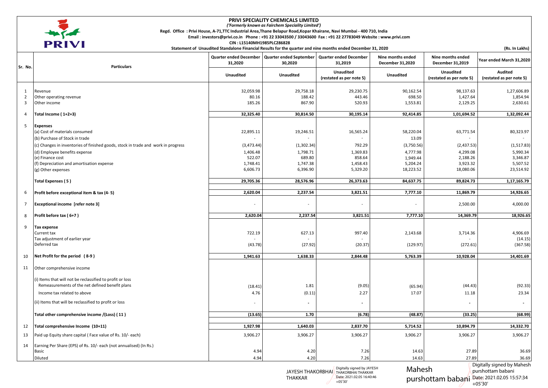

#### **PRIVI SPECIALITY CHEMICALS LIMITED**

*('Formerly known as Fairchem Speciality Limited')*

**Regd. Office : Privi House, A-71,TTC Industrial Area,Thane Belapur Road,Kopar Khairane, Navi Mumbai - 400 710, India** 

 **Email : investors@privi.co.in Phone : +91 22 33043500 / 33043600 Fax : +91 22 27783049 Website : www.privi.com**

 **CIN : L15140MH1985PLC286828**

purshottam babani

Date: 2021.02.05 15:57:34

+05'30'

| Sr. No.             | <b>Particulars</b>                                                                | <b>Quarter ended December</b><br>31,2020 | <b>Quarter ended September</b><br>30,2020 | <b>Quarter ended December</b><br>31,2019                           | Nine months ended<br>December 31,2020 | Nine months ended<br>December 31,2019        | Year ended March 31,2020                        |
|---------------------|-----------------------------------------------------------------------------------|------------------------------------------|-------------------------------------------|--------------------------------------------------------------------|---------------------------------------|----------------------------------------------|-------------------------------------------------|
|                     |                                                                                   | <b>Unaudited</b>                         | Unaudited                                 | <b>Unaudited</b><br>(restated as per note 5)                       | <b>Unaudited</b>                      | <b>Unaudited</b><br>(restated as per note 5) | <b>Audited</b><br>(restated as per note 5)      |
|                     |                                                                                   |                                          |                                           |                                                                    |                                       |                                              |                                                 |
| 1<br>$\overline{2}$ | Revenue<br>Other operating revenue                                                | 32,059.98<br>80.16                       | 29,758.18<br>188.42                       | 29,230.75<br>443.46                                                | 90,162.54<br>698.50                   | 98,137.63<br>1,427.64                        | 1,27,606.89<br>1,854.94                         |
| 3                   | Other income                                                                      | 185.26                                   | 867.90                                    | 520.93                                                             | 1,553.81                              | 2,129.25                                     | 2,630.61                                        |
| 4                   | Total Income (1+2+3)                                                              | 32,325.40                                | 30,814.50                                 | 30,195.14                                                          | 92,414.85                             | 1,01,694.52                                  | 1,32,092.44                                     |
| 5                   | <b>Expenses</b>                                                                   |                                          |                                           |                                                                    |                                       |                                              |                                                 |
|                     | (a) Cost of materials consumed                                                    | 22,895.11                                | 19,246.51                                 | 16,565.24                                                          | 58,220.04                             | 63,771.54                                    | 80,323.97                                       |
|                     | (b) Purchase of Stock in trade                                                    |                                          |                                           |                                                                    | 13.09                                 |                                              |                                                 |
|                     | (c) Changes in inventories of finished goods, stock in trade and work in progress | (3, 473.44)                              | (1,302.34)                                | 792.29                                                             | (3,750.56)                            | (2,437.53)                                   | (1, 517.83)                                     |
|                     | (d) Employee benefits expense                                                     | 1,406.48                                 | 1,798.71                                  | 1,369.83                                                           | 4,777.98                              | 4,299.08                                     | 5,990.34                                        |
|                     | (e) Finance cost<br>(f) Depreciation and amortisation expense                     | 522.07<br>1,748.41                       | 689.80<br>1,747.38                        | 858.64<br>1,458.43                                                 | 1,949.44<br>5,204.24                  | 2,188.26<br>3,923.32                         | 3,346.87<br>5,507.52                            |
|                     | (g) Other expenses                                                                | 6,606.73                                 | 6,396.90                                  | 5,329.20                                                           | 18,223.52                             | 18,080.06                                    | 23,514.92                                       |
|                     |                                                                                   |                                          |                                           |                                                                    |                                       |                                              |                                                 |
|                     | Total Expenses (5)                                                                | 29,705.36                                | 28,576.96                                 | 26,373.63                                                          | 84,637.75                             | 89,824.73                                    | 1,17,165.79                                     |
| 6                   | Profit before exceptional item & tax (4-5)                                        | 2,620.04                                 | 2,237.54                                  | 3,821.51                                                           | 7,777.10                              | 11,869.79                                    | 14,926.65                                       |
| 7                   | Exceptional income [refer note 3]                                                 |                                          |                                           | $\overline{\phantom{m}}$                                           |                                       | 2,500.00                                     | 4,000.00                                        |
| 8                   | Profit before tax (6+7)                                                           | 2,620.04                                 | 2,237.54                                  | 3,821.51                                                           | 7,777.10                              | 14,369.79                                    | 18,926.65                                       |
|                     |                                                                                   |                                          |                                           |                                                                    |                                       |                                              |                                                 |
| 9                   | Tax expense                                                                       |                                          |                                           |                                                                    |                                       |                                              |                                                 |
|                     | Current tax<br>Tax adjustment of earlier year                                     | 722.19                                   | 627.13                                    | 997.40                                                             | 2,143.68                              | 3,714.36                                     | 4,906.69<br>(14.15)                             |
|                     | Deferred tax                                                                      | (43.78)                                  | (27.92)                                   | (20.37)                                                            | (129.97)                              | (272.61)                                     | (367.58)                                        |
| 10                  | Net Profit for the period (8-9)                                                   | 1,941.63                                 | 1,638.33                                  | 2,844.48                                                           | 5,763.39                              | 10,928.04                                    | 14,401.69                                       |
| 11                  | Other comprehensive income                                                        |                                          |                                           |                                                                    |                                       |                                              |                                                 |
|                     |                                                                                   |                                          |                                           |                                                                    |                                       |                                              |                                                 |
|                     | (i) Items that will not be reclassified to profit or loss                         |                                          |                                           |                                                                    |                                       |                                              |                                                 |
|                     | Remeasurements of the net defined benefit plans                                   | (18.41)                                  | 1.81                                      | (9.05)                                                             | (65.94)                               | (44.43)                                      | (92.33)                                         |
|                     | Income tax related to above                                                       | 4.76                                     | (0.11)                                    | 2.27                                                               | 17.07                                 | 11.18                                        | 23.34                                           |
|                     | (ii) Items that will be reclassified to profit or loss                            |                                          | $\overline{\phantom{a}}$                  | $\overline{\phantom{a}}$                                           |                                       |                                              | $\blacksquare$                                  |
|                     | Total other comprehensive income /(Loss) (11)                                     | (13.65)                                  | 1.70                                      | (6.78)                                                             | (48.87)                               | (33.25)                                      | (68.99)                                         |
| 12                  | Total comprehensive Income (10+11)                                                | 1,927.98                                 | 1,640.03                                  | 2,837.70                                                           | 5,714.52                              | 10,894.79                                    | 14,332.70                                       |
| 13                  | Paid up Equity share capital (Face value of Rs. 10/- each)                        | 3,906.27                                 | 3,906.27                                  | 3,906.27                                                           | 3,906.27                              | 3,906.27                                     | 3,906.27                                        |
| 14                  | Earning Per Share (EPS) of Rs. 10/- each (not annualised) (In Rs.)                |                                          |                                           |                                                                    |                                       |                                              |                                                 |
|                     | Basic                                                                             | 4.94                                     | 4.20                                      | 7.26                                                               | 14.63                                 | 27.89                                        | 36.69                                           |
|                     | Diluted                                                                           | 4.94                                     | 4.20                                      | 7.26                                                               | 14.63                                 | 27.89                                        | 36.69                                           |
|                     |                                                                                   |                                          |                                           | Digitally signed by JAYESH<br>JAYESH THAKORBHAI THAKORBHAI THAKKAR | Mahesh                                |                                              | Digitally signed by Mahesh<br>purshottam babani |

THAKKAR

Date: 2021.02.05 16:40:46

+05'30'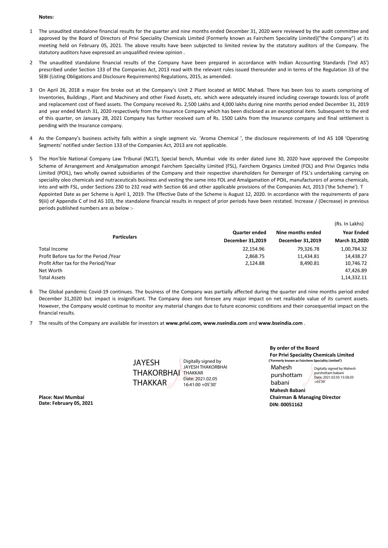#### **Notes:**

- 1 The unaudited standalone financial results for the quarter and nine months ended December 31, 2020 were reviewed by the audit committee and approved by the Board of Directors of Privi Speciality Chemicals Limited (Formerly known as Fairchem Speciality Limited)("the Company") at its meeting held on February 05, 2021. The above results have been subjected to limited review by the statutory auditors of the Company. The statutory auditors have expressed an unqualified review opinion .
- 2 The unaudited standalone financial results of the Company have been prepared in accordance with Indian Accounting Standards ('Ind AS') prescribed under Section 133 of the Companies Act, 2013 read with the relevant rules issued thereunder and in terms of the Regulation 33 of the SEBI (Listing Obligations and Disclosure Requirements) Regulations, 2015, as amended.
- 3 On April 26, 2018 a major fire broke out at the Company's Unit 2 Plant located at MIDC Mahad. There has been loss to assets comprising of Inventories, Buildings , Plant and Machinery and other Fixed Assets, etc. which were adequately insured including coverage towards loss of profit and replacement cost of fixed assets. The Company received Rs. 2,500 Lakhs and 4,000 lakhs during nine months period ended December 31, 2019 and year ended March 31, 2020 respectively from the Insurance Company which has been disclosed as an exceptional item. Subsequent to the end of this quarter, on January 28, 2021 Company has further received sum of Rs. 1500 Lakhs from the Insurance company and final settlement is pending with the Insurance company.
- 44 As the Company's business activity falls within a single segment viz. 'Aroma Chemical ', the disclosure requirements of Ind AS 108 'Operating Segments' notified under Section 133 of the Companies Act, 2013 are not applicable.
- 5 The Hon'ble National Company Law Tribunal (NCLT), Special bench, Mumbai vide its order dated June 30, 2020 have approved the Composite Scheme of Arrangement and Amalgamation amongst Fairchem Speciality Limited (FSL), Fairchem Organics Limited (FOL) and Privi Organics India Limited (POIL), two wholly owned subsidiaries of the Company and their respective shareholders for Demerger of FSL's undertaking carrying on speciality oleo chemicals and nutraceuticals business and vesting the same into FOL and Amalgamation of POIL, manufacturers of aroma chemicals, into and with FSL, under Sections 230 to 232 read with Section 66 and other applicable provisions of the Companies Act, 2013 ('the Scheme'). T Appointed Date as per Scheme is April 1, 2019. The Effective Date of the Scheme is August 12, 2020. In accordance with the requirements of para 9(iii) of Appendix C of Ind AS 103, the standalone financial results in respect of prior periods have been restated. Increase / (Decrease) in previous periods published numbers are as below :-

|                                        |                      |                         | (Rs. In Lakhs)<br><b>Year Ended</b><br>March 31,2020 |  |
|----------------------------------------|----------------------|-------------------------|------------------------------------------------------|--|
|                                        | <b>Quarter ended</b> | Nine months ended       |                                                      |  |
| <b>Particulars</b>                     | December 31,2019     | <b>December 31.2019</b> |                                                      |  |
| <b>Total Income</b>                    | 22,154.96            | 79.326.78               | 1,00,784.32                                          |  |
| Profit Before tax for the Period /Year | 2.868.75             | 11,434.81               | 14,438.27                                            |  |
| Profit After tax for the Period/Year   | 2.124.88             | 8.490.81                | 10,746.72                                            |  |
| Net Worth                              |                      |                         | 47.426.89                                            |  |
| <b>Total Assets</b>                    |                      |                         | 1,14,332.11                                          |  |
|                                        |                      |                         |                                                      |  |

- 6 The Global pandemic Covid-19 continues. The business of the Company was partially affected during the quarter and nine months period ended December 31,2020 but impact is insignificant. The Company does not foresee any major impact on net realisable value of its current assets. However, the Company would continue to monitor any material changes due to future economic conditions and their consequential impact on the financial results.
- 7 The results of the Company are available for investors at **www.privi.com, www.nseindia.com** and **www.bseindia.com** .

JAYESH THAKORBHAI THAKKAR THAKKAR Digitally signed by JAYESH THAKORBHAI Date: 2021.02.05 16:41:00 +05'30'

**By order of the Board For Privi Speciality Chemicals Limited ('Formerly known as Fairchem Speciality Limited')**

Mahesh purshottam babani

Digitally signed by Mahesh purshottam babani Date: 2021.02.05 15:58:20 +05'30'

**Mahesh Babani Place: Navi Mumbai Chairman & Managing Director**

**Date: February 05, 2021 DIN: 00051162**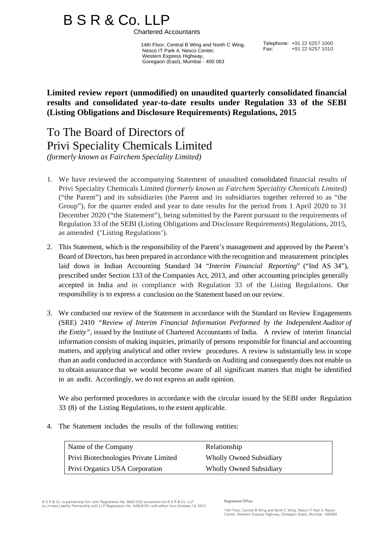# B S R & Co. LLP<br>Chartered Accountants

 14th Floor, Central B Wing and North C Wing, Nesco IT Park 4, Nesco Center, Western Express Highway, Goregaon (East), Mumbai - 400 063

Telephone: +91 22 6257 1000 Fax: +91 22 6257 1010

**Limited review report (unmodified) on unaudited quarterly consolidated financial results and consolidated year-to-date results under Regulation 33 of the SEBI (Listing Obligations and Disclosure Requirements) Regulations, 2015**

## To The Board of Directors of Privi Speciality Chemicals Limited *(formerly known as Fairchem Speciality Limited)*

- 1. We have reviewed the accompanying Statement of unaudited consolidated financial results of Privi Speciality Chemicals Limited *(formerly known as Fairchem Speciality Chemicals Limited)*  ("the Parent") and its subsidiaries (the Parent and its subsidiaries together referred to as "the Group"), for the quarter ended and year to date results for the period from 1 April 2020 to 31 December 2020 ("the Statement"), being submitted by the Parent pursuant to the requirements of Regulation 33 of the SEBI (Listing Obligations and Disclosure Requirements) Regulations, 2015, as amended ('Listing Regulations').
- 2. This Statement, which is the responsibility of the Parent's management and approved by the Parent's Board of Directors, has been prepared in accordance with the recognition and measurement principles laid down in Indian Accounting Standard 34 "*Interim Financial Reporting*" ("Ind AS 34"), prescribed under Section 133 of the Companies Act, 2013, and other accounting principles generally accepted in India and in compliance with Regulation 33 of the Listing Regulations. Our responsibility is to express a conclusion on the Statement based on our review.
- 3. We conducted our review of the Statement in accordance with the Standard on Review Engagements (SRE) 2410 *"Review of Interim Financial Information Performed by the Independent Auditor of the Entity",* issued by the Institute of Chartered Accountants of India. A review of interim financial information consists of making inquiries, primarily of persons responsible for financial and accounting matters, and applying analytical and other review procedures. A review is substantially less in scope than an audit conducted in accordance with Standards on Auditing and consequently does not enable us to obtain assurance that we would become aware of all significant matters that might be identified in an audit. Accordingly, we do not express an audit opinion.

We also performed procedures in accordance with the circular issued by the SEBI under Regulation 33 (8) of the Listing Regulations, to the extent applicable.

4. The Statement includes the results of the following entities:

| Name of the Company                          | Relationship                   |
|----------------------------------------------|--------------------------------|
| <b>Privi Biotechnologies Private Limited</b> | <b>Wholly Owned Subsidiary</b> |
| <b>Privi Organics USA Corporation</b>        | <b>Wholly Owned Subsidiary</b> |

B S R & Co. (a partnership firm with Registration No. BA61223) converted into B S R & Co. LLP (a Limited Liability Partnership with LLP Registration No. AAB-8181) with effect from October 14, 2013

14th Floor, Central B Wing and North C Wing, Nesco IT Park 4, Nesco Center, Western Express Highway, Goregaon (East), Mumbai - 400063

Registered Office: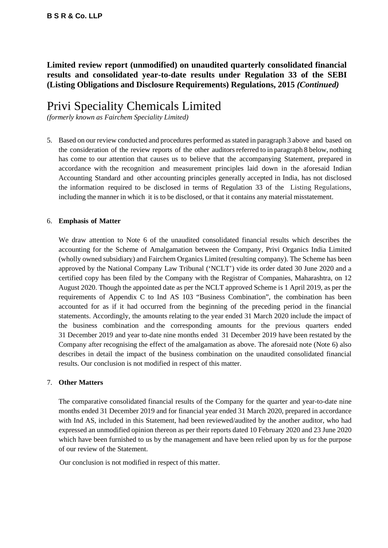## **Limited review report (unmodified) on unaudited quarterly consolidated financial results and consolidated year-to-date results under Regulation 33 of the SEBI (Listing Obligations and Disclosure Requirements) Regulations, 2015** *(Continued)*

## Privi Speciality Chemicals Limited

*(formerly known as Fairchem Speciality Limited)*

5. Based on our review conducted and procedures performed as stated in paragraph 3 above and based on the consideration of the review reports of the other auditors referred to in paragraph 8 below, nothing has come to our attention that causes us to believe that the accompanying Statement, prepared in accordance with the recognition and measurement principles laid down in the aforesaid Indian Accounting Standard and other accounting principles generally accepted in India, has not disclosed the information required to be disclosed in terms of Regulation 33 of the Listing Regulations, including the manner in which it is to be disclosed, or that it contains any material misstatement.

## 6. **Emphasis of Matter**

We draw attention to Note 6 of the unaudited consolidated financial results which describes the accounting for the Scheme of Amalgamation between the Company, Privi Organics India Limited (wholly owned subsidiary) and Fairchem Organics Limited (resulting company). The Scheme has been approved by the National Company Law Tribunal ('NCLT') vide its order dated 30 June 2020 and a certified copy has been filed by the Company with the Registrar of Companies, Maharashtra, on 12 August 2020. Though the appointed date as per the NCLT approved Scheme is 1 April 2019, as per the requirements of Appendix C to Ind AS 103 "Business Combination", the combination has been accounted for as if it had occurred from the beginning of the preceding period in the financial statements. Accordingly, the amounts relating to the year ended 31 March 2020 include the impact of the business combination and the corresponding amounts for the previous quarters ended 31 December 2019 and year to-date nine months ended 31 December 2019 have been restated by the Company after recognising the effect of the amalgamation as above. The aforesaid note (Note 6) also describes in detail the impact of the business combination on the unaudited consolidated financial results. Our conclusion is not modified in respect of this matter.

## 7. **Other Matters**

The comparative consolidated financial results of the Company for the quarter and year-to-date nine months ended 31 December 2019 and for financial year ended 31 March 2020, prepared in accordance with Ind AS, included in this Statement, had been reviewed/audited by the another auditor, who had expressed an unmodified opinion thereon as per their reports dated 10 February 2020 and 23 June 2020 which have been furnished to us by the management and have been relied upon by us for the purpose of our review of the Statement.

Our conclusion is not modified in respect of this matter.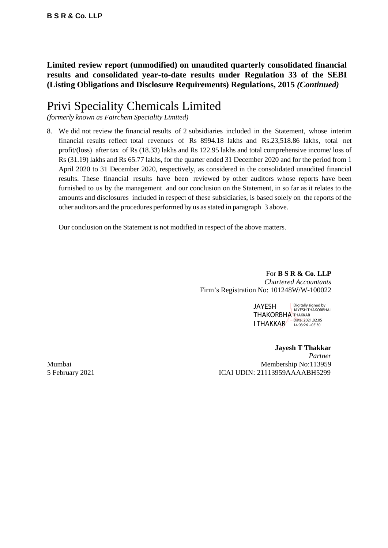**Limited review report (unmodified) on unaudited quarterly consolidated financial results and consolidated year-to-date results under Regulation 33 of the SEBI (Listing Obligations and Disclosure Requirements) Regulations, 2015** *(Continued)*

# Privi Speciality Chemicals Limited

*(formerly known as Fairchem Speciality Limited)*

8. We did not review the financial results of 2 subsidiaries included in the Statement, whose interim financial results reflect total revenues of Rs 8994.18 lakhs and Rs.23,518.86 lakhs, total net profit/(loss) after tax of Rs (18.33) lakhs and Rs 122.95 lakhs and total comprehensive income/ loss of Rs (31.19) lakhs and Rs 65.77 lakhs, for the quarter ended 31 December 2020 and for the period from 1 April 2020 to 31 December 2020, respectively, as considered in the consolidated unaudited financial results. These financial results have been reviewed by other auditors whose reports have been furnished to us by the management and our conclusion on the Statement, in so far as it relates to the amounts and disclosures included in respect of these subsidiaries, is based solely on the reports of the other auditors and the procedures performed by us asstated in paragraph 3 above.

Our conclusion on the Statement is not modified in respect of the above matters.

For **B S R & Co. LLP** *Chartered Accountants* Firm's Registration No: 101248W/W-100022

> JAYESH THAKORBHA<sup>THAKKAR</sup> I THAKKAR Date: 2021.02.05 Digitally signed by JAYESH THAKORBHAI

**Jayesh T Thakkar** *Partner* Mumbai Membership No:113959 5 February 2021 ICAI UDIN: 21113959AAAABH5299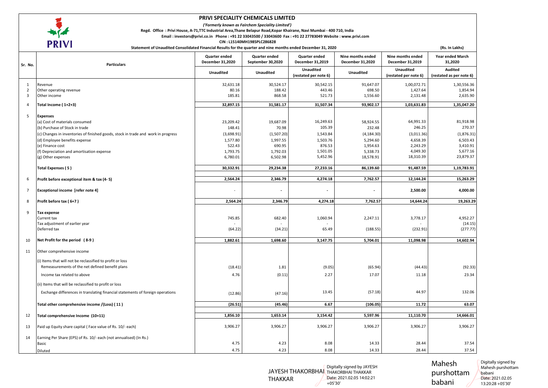

#### **PRIVI SPECIALITY CHEMICALS LIMITED**

*('Formerly known as Fairchem Speciality Limited')*

**Regd. Office : Privi House, A-71,TTC Industrial Area,Thane Belapur Road,Kopar Khairane, Navi Mumbai - 400 710, India** 

**Email : investors@privi.co.in Phone : +91 22 33043500 / 33043600 Fax : +91 22 27783049 Website : www.privi.com**

 **CIN : L15140MH1985PLC286828** 

| I IXI V I<br>Statement of Unaudited Consolidated Financial Results for the quarter and nine months ended December 31, 2020 |                                                                                   |                                   |                                    |                                           |                                       | (Rs. In Lakhs)                            |                                            |
|----------------------------------------------------------------------------------------------------------------------------|-----------------------------------------------------------------------------------|-----------------------------------|------------------------------------|-------------------------------------------|---------------------------------------|-------------------------------------------|--------------------------------------------|
| Sr. No.                                                                                                                    | <b>Particulars</b>                                                                | Quarter ended<br>December 31,2020 | Quarter ended<br>September 30,2020 | <b>Quarter ended</b><br>December 31,2019  | Nine months ended<br>December 31,2020 | Nine months ended<br>December 31,2019     | <b>Year ended March</b><br>31,2020         |
|                                                                                                                            |                                                                                   | Unaudited                         | <b>Unaudited</b>                   | <b>Unaudited</b><br>(restated per note 6) | <b>Unaudited</b>                      | <b>Unaudited</b><br>(restated per note 6) | <b>Audited</b><br>(restated as per note 6) |
| 1                                                                                                                          | Revenue                                                                           | 32,631.18                         | 30,524.17                          | 30,542.15                                 | 91,647.07                             | 1,00,072.71                               | 1,30,556.36                                |
| $\overline{2}$                                                                                                             | Other operating revenue                                                           | 80.16                             | 188.42                             | 443.46                                    | 698.50                                | 1,427.64                                  | 1,854.94                                   |
| $\overline{3}$                                                                                                             | Other income                                                                      | 185.81                            | 868.58                             | 521.73                                    | 1,556.60                              | 2,131.48                                  | 2,635.90                                   |
| $\overline{4}$                                                                                                             | Total Income (1+2+3)                                                              | 32,897.15                         | 31,581.17                          | 31,507.34                                 | 93,902.17                             | 1,03,631.83                               | 1,35,047.20                                |
| 5                                                                                                                          | <b>Expenses</b>                                                                   |                                   |                                    |                                           |                                       |                                           |                                            |
|                                                                                                                            | (a) Cost of materials consumed                                                    | 23,209.42                         | 19,687.09                          | 16,249.63                                 | 58,924.55                             | 64,991.33                                 | 81,918.98                                  |
|                                                                                                                            | (b) Purchase of Stock in trade                                                    | 148.41                            | 70.98                              | 105.39                                    | 232.48                                | 246.25                                    | 270.37                                     |
|                                                                                                                            | (c) Changes in inventories of finished goods, stock in trade and work in progress | (3,698.91)                        | (1,507.20)                         | 1,543.84                                  | (4, 184.30)                           | (3,011.36)                                | (1,876.31)                                 |
|                                                                                                                            | (d) Employee benefits expense                                                     | 1,577.80                          | 1,997.55                           | 1,503.76                                  | 5,294.60                              | 4,658.39                                  | 6,503.43                                   |
|                                                                                                                            | (e) Finance cost                                                                  | 522.43                            | 690.95                             | 876.53                                    | 1,954.63                              | 2,243.29                                  | 3,410.91                                   |
|                                                                                                                            | (f) Depreciation and amortisation expense                                         | 1,793.75                          | 1,792.03                           | 1,501.05                                  | 5,338.73                              | 4,049.30                                  | 5,677.16                                   |
|                                                                                                                            | (g) Other expenses                                                                | 6,780.01                          | 6,502.98                           | 5,452.96                                  | 18,578.91                             | 18,310.39                                 | 23,879.37                                  |
|                                                                                                                            | <b>Total Expenses (5)</b>                                                         | 30,332.91                         | 29,234.38                          | 27,233.16                                 | 86,139.60                             | 91,487.59                                 | 1,19,783.91                                |
| 6                                                                                                                          | Profit before exceptional item & tax (4-5)                                        | 2,564.24                          | 2,346.79                           | 4,274.18                                  | 7,762.57                              | 12,144.24                                 | 15,263.29                                  |
|                                                                                                                            |                                                                                   |                                   |                                    |                                           |                                       |                                           |                                            |
| $\overline{7}$                                                                                                             | <b>Exceptional income [refer note 4]</b>                                          |                                   |                                    |                                           |                                       | 2,500.00                                  | 4,000.00                                   |
| 8                                                                                                                          | Profit before tax (6+7)                                                           | 2,564.24                          | 2,346.79                           | 4,274.18                                  | 7,762.57                              | 14,644.24                                 | 19,263.29                                  |
|                                                                                                                            |                                                                                   |                                   |                                    |                                           |                                       |                                           |                                            |
| 9                                                                                                                          | <b>Tax expense</b><br>Current tax                                                 | 745.85                            | 682.40                             | 1,060.94                                  |                                       | 3,778.17                                  | 4,952.27                                   |
|                                                                                                                            | Tax adjustment of earlier year                                                    |                                   |                                    |                                           | 2,247.11                              |                                           | (14.15)                                    |
|                                                                                                                            | Deferred tax                                                                      | (64.22)                           | (34.21)                            | 65.49                                     | (188.55)                              | (232.91)                                  | (277.77)                                   |
|                                                                                                                            |                                                                                   |                                   |                                    |                                           |                                       |                                           |                                            |
| 10                                                                                                                         | Net Profit for the period (8-9)                                                   | 1,882.61                          | 1,698.60                           | 3,147.75                                  | 5,704.01                              | 11,098.98                                 | 14,602.94                                  |
| 11                                                                                                                         | Other comprehensive income                                                        |                                   |                                    |                                           |                                       |                                           |                                            |
|                                                                                                                            | (i) Items that will not be reclassified to profit or loss                         |                                   |                                    |                                           |                                       |                                           |                                            |
|                                                                                                                            | Remeasurements of the net defined benefit plans                                   | (18.41)                           | 1.81                               | (9.05)                                    | (65.94)                               | (44.43)                                   | (92.33)                                    |
|                                                                                                                            | Income tax related to above                                                       | 4.76                              | (0.11)                             | 2.27                                      | 17.07                                 | 11.18                                     | 23.34                                      |
|                                                                                                                            | (ii) Items that will be reclassified to profit or loss                            |                                   |                                    |                                           |                                       |                                           |                                            |
|                                                                                                                            | Exchange differences in translating financial statements of foreign operations    |                                   |                                    | 13.45                                     | (57.18)                               | 44.97                                     | 132.06                                     |
|                                                                                                                            |                                                                                   | (12.86)                           | (47.16)                            |                                           |                                       |                                           |                                            |
|                                                                                                                            | Total other comprehensive income /(Loss) (11)                                     | (26.51)                           | (45.46)                            | 6.67                                      | (106.05)                              | 11.72                                     | 63.07                                      |
| 12                                                                                                                         | Total comprehensive Income (10+11)                                                | 1,856.10                          | 1,653.14                           | 3,154.42                                  | 5,597.96                              | 11,110.70                                 | 14,666.01                                  |
| 13                                                                                                                         | Paid up Equity share capital (Face value of Rs. 10/- each)                        | 3,906.27                          | 3,906.27                           | 3,906.27                                  | 3,906.27                              | 3,906.27                                  | 3,906.27                                   |
|                                                                                                                            |                                                                                   |                                   |                                    |                                           |                                       |                                           |                                            |
| 14                                                                                                                         | Earning Per Share (EPS) of Rs. 10/- each (not annualised) (In Rs.)                |                                   |                                    |                                           |                                       |                                           |                                            |
|                                                                                                                            | Basic                                                                             | 4.75                              | 4.23                               | 8.08                                      | 14.33                                 | 28.44                                     | 37.54                                      |
|                                                                                                                            | Diluted                                                                           | 4.75                              | 4.23                               | 8.08                                      | 14.33                                 | 28.44                                     | 37.54                                      |

JAYESH THAKORBHAI THAKORBHAI THAKKAR THAKKAR Digitally signed by JAYESH Date: 2021.02.05 14:02:21 +05'30'

Mahesh purshottam babani

Digitally signed by Mahesh purshottam babani Date: 2021.02.05 13:20:28 +05'30'